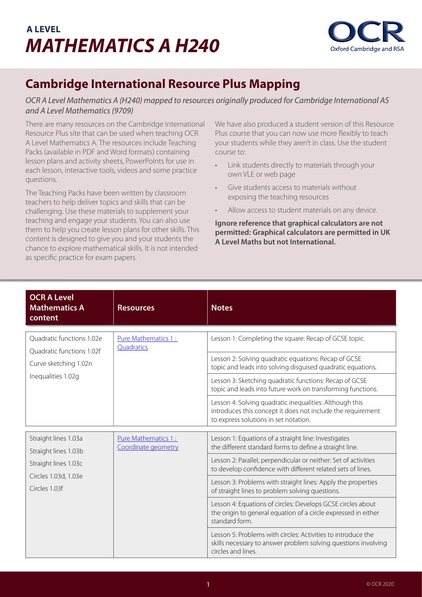## **A LEVEL** *MATHEMATICS A H240*



## **Cambridge International Resource Plus Mapping**

## *OCR A Level Mathematics A (H240) mapped to resources originally produced for Cambridge International AS and A Level Mathematics (9709)*

There are many resources on the Cambridge International Resource Plus site that can be used when teaching OCR A Level Mathematics A. The resources include Teaching Packs (available in PDF and Word formats) containing lesson plans and activity sheets, PowerPoints for use in each lesson, interactive tools, videos and some practice questions.

The Teaching Packs have been written by classroom teachers to help deliver topics and skills that can be challenging. Use these materials to supplement your teaching and engage your students. You can also use them to help you create lesson plans for other skills. This content is designed to give you and your students the chance to explore mathematical skills. It is not intended as specific practice for exam papers.

We have also produced a student version of this Resource Plus course that you can now use more flexibly to teach your students while they aren't in class. Use the student course to:

- Link students directly to materials through your own VLE or web page
- Give students access to materials without exposing the teaching resources
- Allow access to student materials on any device.

**Ignore reference that graphical calculators are not permitted: Graphical calculators are permitted in UK A Level Maths but not International.**

| <b>OCR A Level</b><br><b>Mathematics A</b><br>content                                                                                                       | <b>Resources</b>                                                                                                                                                                                                                                                                                                                                                                                                                                                                                                                                                                                                                                          | <b>Notes</b>                                                                                                                                                                                                                                                                                                                                                                                                                                                             |
|-------------------------------------------------------------------------------------------------------------------------------------------------------------|-----------------------------------------------------------------------------------------------------------------------------------------------------------------------------------------------------------------------------------------------------------------------------------------------------------------------------------------------------------------------------------------------------------------------------------------------------------------------------------------------------------------------------------------------------------------------------------------------------------------------------------------------------------|--------------------------------------------------------------------------------------------------------------------------------------------------------------------------------------------------------------------------------------------------------------------------------------------------------------------------------------------------------------------------------------------------------------------------------------------------------------------------|
| <b>Ouadratic functions 1.02e</b><br>Quadratic functions 1.02f<br>Curve sketching 1.02n<br>Inequalities 1.02g                                                | Pure Mathematics 1:<br>Quadratics                                                                                                                                                                                                                                                                                                                                                                                                                                                                                                                                                                                                                         | Lesson 1: Completing the square: Recap of GCSE topic.<br>Lesson 2: Solving quadratic equations: Recap of GCSE<br>topic and leads into solving disguised quadratic equations.<br>Lesson 3: Sketching quadratic functions: Recap of GCSE<br>topic and leads into future work on transforming functions.<br>Lesson 4: Solving quadratic inequalities: Although this<br>introduces this concept it does not include the requirement<br>to express solutions in set notation. |
| Straight lines 1.03a<br>Pure Mathematics 1:<br>Coordinate geometry<br>Straight lines 1.03b<br>Straight lines 1.03c<br>Circles 1.03d, 1.03e<br>Circles 1.03f | Lesson 1: Equations of a straight line: Investigates<br>the different standard forms to define a straight line.<br>Lesson 2: Parallel, perpendicular or neither: Set of activities<br>to develop confidence with different related sets of lines.<br>Lesson 3: Problems with straight lines: Apply the properties<br>of straight lines to problem solving questions.<br>Lesson 4: Equations of circles: Develops GCSE circles about<br>the origin to general equation of a circle expressed in either<br>standard form.<br>Lesson 5: Problems with circles: Activities to introduce the<br>skills necessary to answer problem solving questions involving |                                                                                                                                                                                                                                                                                                                                                                                                                                                                          |